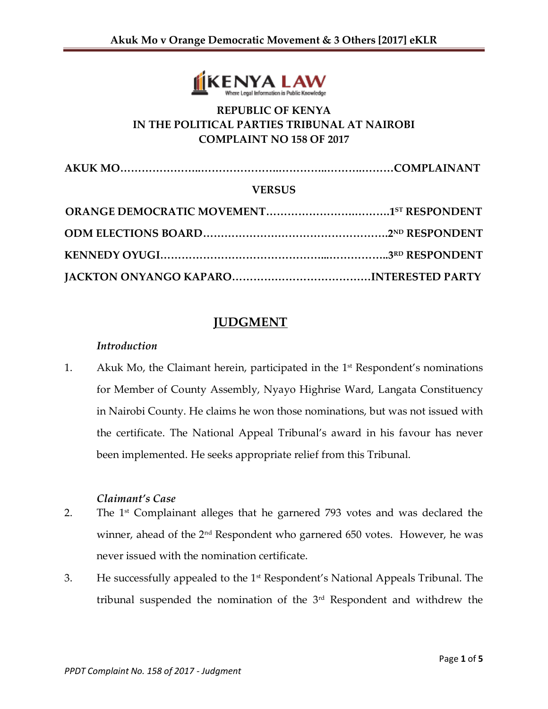

# **REPUBLIC OF KENYA IN THE POLITICAL PARTIES TRIBUNAL AT NAIROBI COMPLAINT NO 158 OF 2017**

**AKUK MO…………………..………………….…………..……….………COMPLAINANT**

#### **VERSUS**

# **JUDGMENT**

#### *Introduction*

1. Akuk Mo, the Claimant herein, participated in the 1 st Respondent's nominations for Member of County Assembly, Nyayo Highrise Ward, Langata Constituency in Nairobi County. He claims he won those nominations, but was not issued with the certificate. The National Appeal Tribunal's award in his favour has never been implemented. He seeks appropriate relief from this Tribunal.

## *Claimant's Case*

- 2. The 1<sup>st</sup> Complainant alleges that he garnered 793 votes and was declared the winner, ahead of the 2<sup>nd</sup> Respondent who garnered 650 votes. However, he was never issued with the nomination certificate.
- 3. He successfully appealed to the 1st Respondent's National Appeals Tribunal. The tribunal suspended the nomination of the 3rd Respondent and withdrew the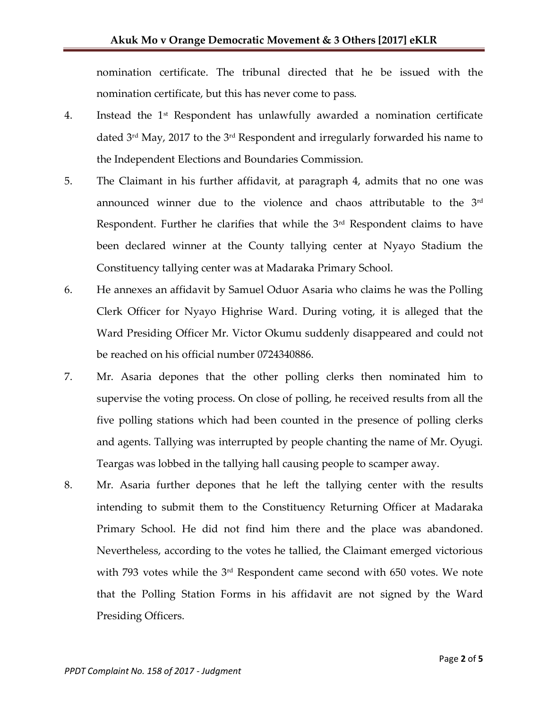nomination certificate. The tribunal directed that he be issued with the nomination certificate, but this has never come to pass.

- 4. Instead the 1st Respondent has unlawfully awarded a nomination certificate dated 3rd May, 2017 to the 3rd Respondent and irregularly forwarded his name to the Independent Elections and Boundaries Commission.
- 5. The Claimant in his further affidavit, at paragraph 4, admits that no one was announced winner due to the violence and chaos attributable to the 3rd Respondent. Further he clarifies that while the 3<sup>rd</sup> Respondent claims to have been declared winner at the County tallying center at Nyayo Stadium the Constituency tallying center was at Madaraka Primary School.
- 6. He annexes an affidavit by Samuel Oduor Asaria who claims he was the Polling Clerk Officer for Nyayo Highrise Ward. During voting, it is alleged that the Ward Presiding Officer Mr. Victor Okumu suddenly disappeared and could not be reached on his official number 0724340886.
- 7. Mr. Asaria depones that the other polling clerks then nominated him to supervise the voting process. On close of polling, he received results from all the five polling stations which had been counted in the presence of polling clerks and agents. Tallying was interrupted by people chanting the name of Mr. Oyugi. Teargas was lobbed in the tallying hall causing people to scamper away.
- 8. Mr. Asaria further depones that he left the tallying center with the results intending to submit them to the Constituency Returning Officer at Madaraka Primary School. He did not find him there and the place was abandoned. Nevertheless, according to the votes he tallied, the Claimant emerged victorious with 793 votes while the 3rd Respondent came second with 650 votes. We note that the Polling Station Forms in his affidavit are not signed by the Ward Presiding Officers.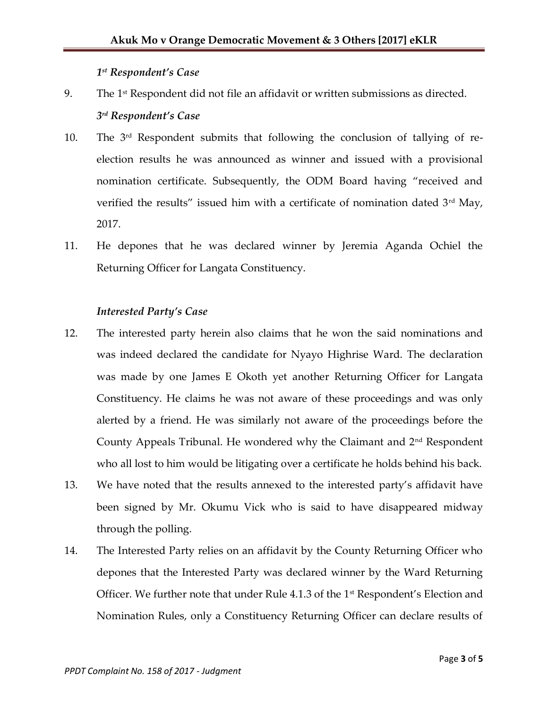### *1 st Respondent's Case*

- 9. The  $1<sup>st</sup>$  Respondent did not file an affidavit or written submissions as directed. *3 rd Respondent's Case*
- 10. The 3<sup>rd</sup> Respondent submits that following the conclusion of tallying of reelection results he was announced as winner and issued with a provisional nomination certificate. Subsequently, the ODM Board having "received and verified the results" issued him with a certificate of nomination dated  $3<sup>rd</sup>$  May, 2017.
- 11. He depones that he was declared winner by Jeremia Aganda Ochiel the Returning Officer for Langata Constituency.

### *Interested Party's Case*

- 12. The interested party herein also claims that he won the said nominations and was indeed declared the candidate for Nyayo Highrise Ward. The declaration was made by one James E Okoth yet another Returning Officer for Langata Constituency. He claims he was not aware of these proceedings and was only alerted by a friend. He was similarly not aware of the proceedings before the County Appeals Tribunal. He wondered why the Claimant and  $2<sup>nd</sup>$  Respondent who all lost to him would be litigating over a certificate he holds behind his back.
- 13. We have noted that the results annexed to the interested party's affidavit have been signed by Mr. Okumu Vick who is said to have disappeared midway through the polling.
- 14. The Interested Party relies on an affidavit by the County Returning Officer who depones that the Interested Party was declared winner by the Ward Returning Officer. We further note that under Rule  $4.1.3$  of the  $1<sup>st</sup>$  Respondent's Election and Nomination Rules, only a Constituency Returning Officer can declare results of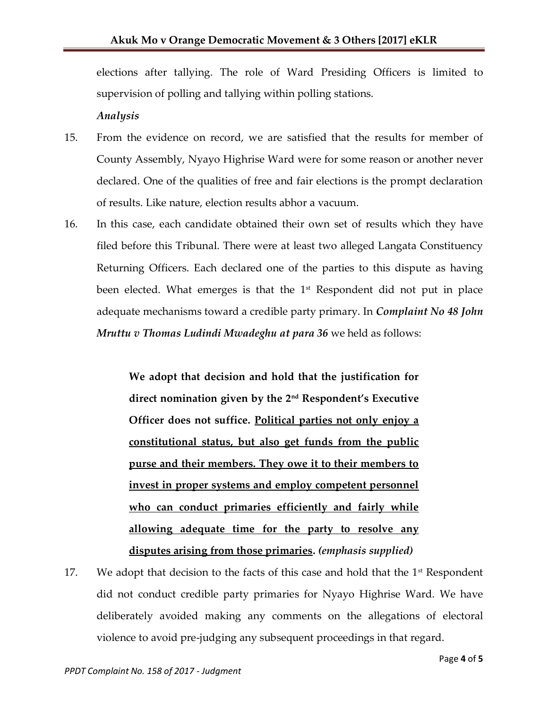elections after tallying. The role of Ward Presiding Officers is limited to supervision of polling and tallying within polling stations.

*Analysis*

- 15. From the evidence on record, we are satisfied that the results for member of County Assembly, Nyayo Highrise Ward were for some reason or another never declared. One of the qualities of free and fair elections is the prompt declaration of results. Like nature, election results abhor a vacuum.
- 16. In this case, each candidate obtained their own set of results which they have filed before this Tribunal. There were at least two alleged Langata Constituency Returning Officers. Each declared one of the parties to this dispute as having been elected. What emerges is that the  $1<sup>st</sup>$  Respondent did not put in place adequate mechanisms toward a credible party primary. In *Complaint No 48 John Mruttu v Thomas Ludindi Mwadeghu at para 36* we held as follows:

**We adopt that decision and hold that the justification for direct nomination given by the 2nd Respondent's Executive Officer does not suffice. Political parties not only enjoy a constitutional status, but also get funds from the public purse and their members. They owe it to their members to invest in proper systems and employ competent personnel who can conduct primaries efficiently and fairly while allowing adequate time for the party to resolve any disputes arising from those primaries.** *(emphasis supplied)*

17. We adopt that decision to the facts of this case and hold that the  $1<sup>st</sup>$  Respondent did not conduct credible party primaries for Nyayo Highrise Ward. We have deliberately avoided making any comments on the allegations of electoral violence to avoid pre-judging any subsequent proceedings in that regard.